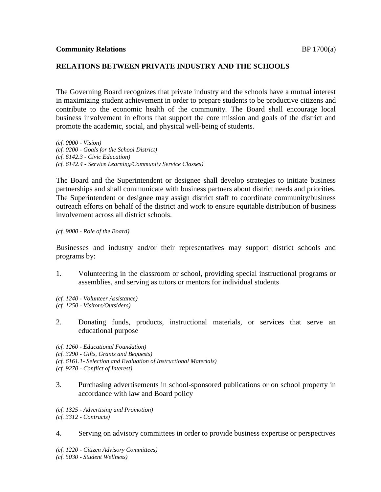## **RELATIONS BETWEEN PRIVATE INDUSTRY AND THE SCHOOLS**

The Governing Board recognizes that private industry and the schools have a mutual interest in maximizing student achievement in order to prepare students to be productive citizens and contribute to the economic health of the community. The Board shall encourage local business involvement in efforts that support the core mission and goals of the district and promote the academic, social, and physical well-being of students.

*(cf. 0000 - Vision) (cf. 0200 - Goals for the School District) (cf. 6142.3 - Civic Education) (cf. 6142.4 - Service Learning/Community Service Classes)*

The Board and the Superintendent or designee shall develop strategies to initiate business partnerships and shall communicate with business partners about district needs and priorities. The Superintendent or designee may assign district staff to coordinate community/business outreach efforts on behalf of the district and work to ensure equitable distribution of business involvement across all district schools.

## *(cf. 9000 - Role of the Board)*

Businesses and industry and/or their representatives may support district schools and programs by:

1. Volunteering in the classroom or school, providing special instructional programs or assemblies, and serving as tutors or mentors for individual students

*(cf. 1240 - Volunteer Assistance) (cf. 1250 - Visitors/Outsiders)*

- 2. Donating funds, products, instructional materials, or services that serve an educational purpose
- *(cf. 1260 - Educational Foundation) (cf. 3290 - Gifts, Grants and Bequests) (cf. 6161.1- Selection and Evaluation of Instructional Materials)*
- *(cf. 9270 - Conflict of Interest)*
- 3. Purchasing advertisements in school-sponsored publications or on school property in accordance with law and Board policy

*(cf. 1325 - Advertising and Promotion) (cf. 3312 - Contracts)*

4. Serving on advisory committees in order to provide business expertise or perspectives

*(cf. 1220 - Citizen Advisory Committees) (cf. 5030 - Student Wellness)*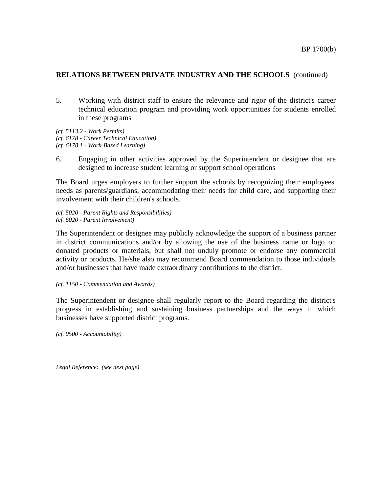## **RELATIONS BETWEEN PRIVATE INDUSTRY AND THE SCHOOLS** (continued)

5. Working with district staff to ensure the relevance and rigor of the district's career technical education program and providing work opportunities for students enrolled in these programs

*(cf. 5113.2 - Work Permits) (cf. 6178 - Career Technical Education) (cf. 6178.1 - Work-Based Learning)*

6. Engaging in other activities approved by the Superintendent or designee that are designed to increase student learning or support school operations

The Board urges employers to further support the schools by recognizing their employees' needs as parents/guardians, accommodating their needs for child care, and supporting their involvement with their children's schools.

*(cf. 5020 - Parent Rights and Responsibilities) (cf. 6020 - Parent Involvement)*

The Superintendent or designee may publicly acknowledge the support of a business partner in district communications and/or by allowing the use of the business name or logo on donated products or materials, but shall not unduly promote or endorse any commercial activity or products. He/she also may recommend Board commendation to those individuals and/or businesses that have made extraordinary contributions to the district.

*(cf. 1150 - Commendation and Awards)*

The Superintendent or designee shall regularly report to the Board regarding the district's progress in establishing and sustaining business partnerships and the ways in which businesses have supported district programs.

*(cf. 0500 - Accountability)*

*Legal Reference: (see next page)*